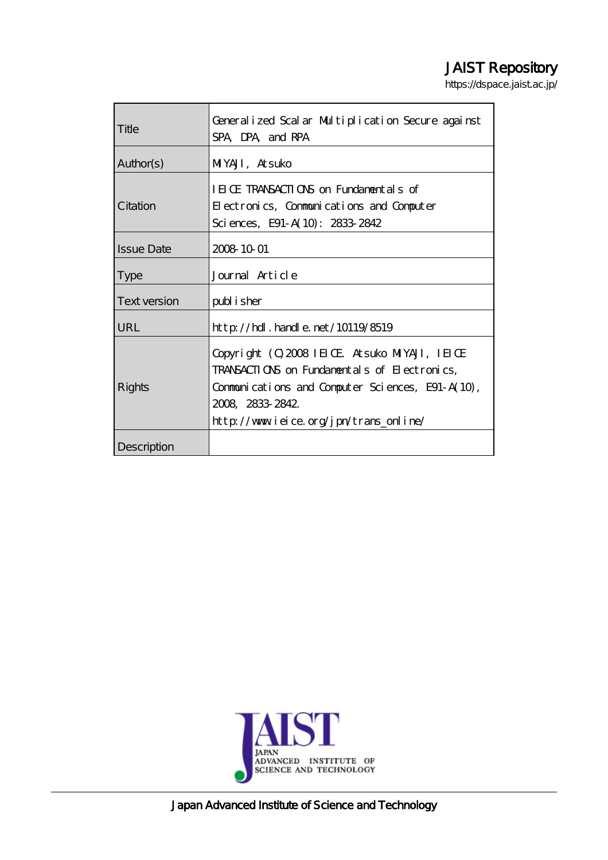# JAIST Repository

https://dspace.jaist.ac.jp/

| Title             | Ceneralized Scalar Multiplication Secure against |  |  |  |
|-------------------|--------------------------------------------------|--|--|--|
|                   | SPA DPA and RPA                                  |  |  |  |
|                   |                                                  |  |  |  |
| Author(s)         | MIYAJI, Atsuko                                   |  |  |  |
|                   | IEICE TRANSACTIONS on Fundamentals of            |  |  |  |
| Citation          | Electronics, Communications and Computer         |  |  |  |
|                   | Sciences, E91-A(10): 2833-2842                   |  |  |  |
|                   |                                                  |  |  |  |
| <b>Issue Date</b> | 2008 10 01                                       |  |  |  |
| <b>Type</b>       | Journal Article                                  |  |  |  |
| Text version      | publisher                                        |  |  |  |
| URL               | $\frac{\text{http}}{\text{10119/8519}}$          |  |  |  |
|                   | Copyright (C) 2008 IEICE At suko MIYAJI, IEICE   |  |  |  |
| Rights            | TRANSACTIONS on Fundamentals of Electronics,     |  |  |  |
|                   | Communications and Computer Sciences, E91-A(10), |  |  |  |
|                   | 2008 2833 2842                                   |  |  |  |
|                   | http://www.ieice.org/jpn/trans_online/           |  |  |  |
| Description       |                                                  |  |  |  |



Japan Advanced Institute of Science and Technology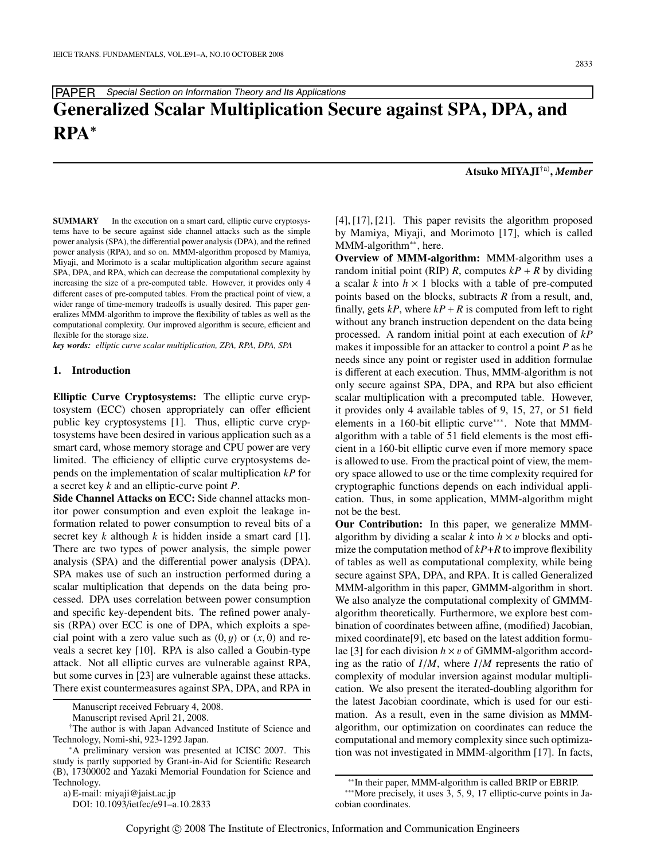## **Generalized Scalar Multiplication Secure against SPA, DPA, and RPA**<sup>∗</sup>

**Atsuko MIYAJI**†a)**,** *Member*

**SUMMARY** In the execution on a smart card, elliptic curve cryptosystems have to be secure against side channel attacks such as the simple power analysis (SPA), the differential power analysis (DPA), and the refined power analysis (RPA), and so on. MMM-algorithm proposed by Mamiya, Miyaji, and Morimoto is a scalar multiplication algorithm secure against SPA, DPA, and RPA, which can decrease the computational complexity by increasing the size of a pre-computed table. However, it provides only 4 different cases of pre-computed tables. From the practical point of view, a wider range of time-memory tradeoffs is usually desired. This paper generalizes MMM-algorithm to improve the flexibility of tables as well as the computational complexity. Our improved algorithm is secure, efficient and flexible for the storage size.

*key words: elliptic curve scalar multiplication, ZPA, RPA, DPA, SPA*

#### **1. Introduction**

**Elliptic Curve Cryptosystems:** The elliptic curve cryptosystem (ECC) chosen appropriately can offer efficient public key cryptosystems [1]. Thus, elliptic curve cryptosystems have been desired in various application such as a smart card, whose memory storage and CPU power are very limited. The efficiency of elliptic curve cryptosystems depends on the implementation of scalar multiplication *kP* for a secret key *k* and an elliptic-curve point *P*.

**Side Channel Attacks on ECC:** Side channel attacks monitor power consumption and even exploit the leakage information related to power consumption to reveal bits of a secret key *k* although *k* is hidden inside a smart card [1]. There are two types of power analysis, the simple power analysis (SPA) and the differential power analysis (DPA). SPA makes use of such an instruction performed during a scalar multiplication that depends on the data being processed. DPA uses correlation between power consumption and specific key-dependent bits. The refined power analysis (RPA) over ECC is one of DPA, which exploits a special point with a zero value such as  $(0, y)$  or  $(x, 0)$  and reveals a secret key [10]. RPA is also called a Goubin-type attack. Not all elliptic curves are vulnerable against RPA, but some curves in [23] are vulnerable against these attacks. There exist countermeasures against SPA, DPA, and RPA in

†The author is with Japan Advanced Institute of Science and Technology, Nomi-shi, 923-1292 Japan.

a) E-mail: miyaji@jaist.ac.jp

DOI: 10.1093/ietfec/e91–a.10.2833

[4], [17], [21]. This paper revisits the algorithm proposed by Mamiya, Miyaji, and Morimoto [17], which is called

MMM-algorithm<sup>\*\*</sup>, here. **Overview of MMM-algorithm:** MMM-algorithm uses a random initial point (RIP) *R*, computes  $kP + R$  by dividing a scalar  $k$  into  $h \times 1$  blocks with a table of pre-computed points based on the blocks, subtracts *R* from a result, and, finally, gets  $kP$ , where  $kP + R$  is computed from left to right without any branch instruction dependent on the data being processed. A random initial point at each execution of *kP* makes it impossible for an attacker to control a point *P* as he needs since any point or register used in addition formulae is different at each execution. Thus, MMM-algorithm is not only secure against SPA, DPA, and RPA but also efficient scalar multiplication with a precomputed table. However, it provides only 4 available tables of 9, 15, 27, or 51 field elements in a 160-bit elliptic curve∗∗∗. Note that MMMalgorithm with a table of 51 field elements is the most efficient in a 160-bit elliptic curve even if more memory space is allowed to use. From the practical point of view, the memory space allowed to use or the time complexity required for cryptographic functions depends on each individual application. Thus, in some application, MMM-algorithm might not be the best.

**Our Contribution:** In this paper, we generalize MMMalgorithm by dividing a scalar  $k$  into  $h \times v$  blocks and optimize the computation method of  $kP+R$  to improve flexibility of tables as well as computational complexity, while being secure against SPA, DPA, and RPA. It is called Generalized MMM-algorithm in this paper, GMMM-algorithm in short. We also analyze the computational complexity of GMMMalgorithm theoretically. Furthermore, we explore best combination of coordinates between affine, (modified) Jacobian, mixed coordinate[9], etc based on the latest addition formulae [3] for each division  $h \times v$  of GMMM-algorithm according as the ratio of *I*/*M*, where *I*/*M* represents the ratio of complexity of modular inversion against modular multiplication. We also present the iterated-doubling algorithm for the latest Jacobian coordinate, which is used for our estimation. As a result, even in the same division as MMMalgorithm, our optimization on coordinates can reduce the computational and memory complexity since such optimization was not investigated in MMM-algorithm [17]. In facts,

Manuscript received February 4, 2008.

Manuscript revised April 21, 2008.

A preliminary version was presented at ICISC 2007. This study is partly supported by Grant-in-Aid for Scientific Research (B), 17300002 and Yazaki Memorial Foundation for Science and Technology.

<sup>&</sup>lt;sup>\*</sup>\*In their paper, MMM-algorithm is called BRIP or EBRIP.<br><sup>\*\*\*</sup>More precisely, it uses 3, 5, 9, 17 elliptic-curve points in Jacobian coordinates.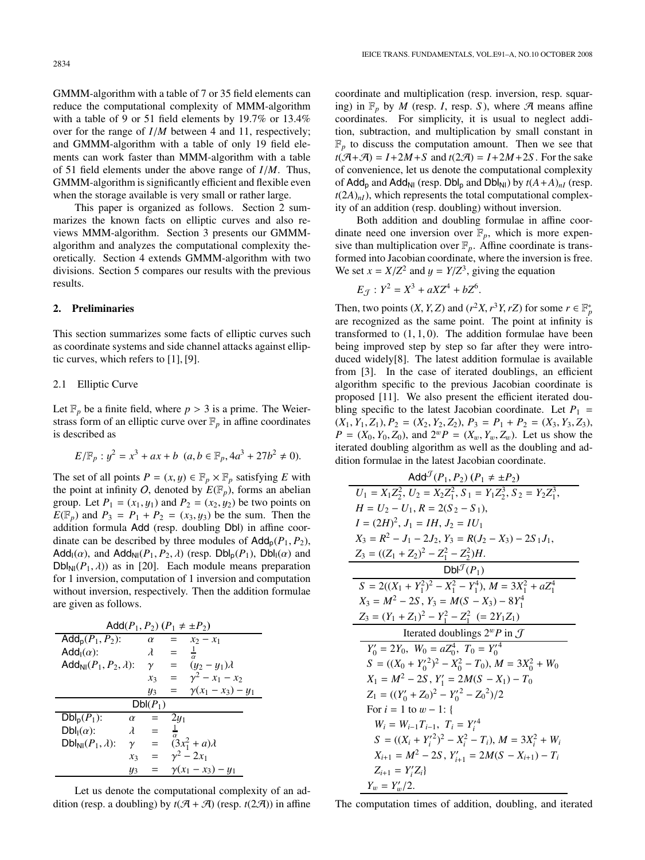GMMM-algorithm with a table of 7 or 35 field elements can reduce the computational complexity of MMM-algorithm with a table of 9 or 51 field elements by 19.7% or 13.4% over for the range of *I*/*M* between 4 and 11, respectively; and GMMM-algorithm with a table of only 19 field elements can work faster than MMM-algorithm with a table of 51 field elements under the above range of *I*/*M*. Thus, GMMM-algorithm is significantly efficient and flexible even when the storage available is very small or rather large.

This paper is organized as follows. Section 2 summarizes the known facts on elliptic curves and also reviews MMM-algorithm. Section 3 presents our GMMMalgorithm and analyzes the computational complexity theoretically. Section 4 extends GMMM-algorithm with two divisions. Section 5 compares our results with the previous results.

## **2. Preliminaries**

This section summarizes some facts of elliptic curves such as coordinate systems and side channel attacks against elliptic curves, which refers to [1], [9].

## 2.1 Elliptic Curve

Let  $\mathbb{F}_p$  be a finite field, where  $p > 3$  is a prime. The Weierstrass form of an elliptic curve over  $\mathbb{F}_p$  in affine coordinates is described as

$$
E/\mathbb{F}_p: y^2 = x^3 + ax + b \ (a, b \in \mathbb{F}_p, 4a^3 + 27b^2 \neq 0).
$$

The set of all points  $P = (x, y) \in \mathbb{F}_p \times \mathbb{F}_p$  satisfying *E* with the point at infinity O, denoted by  $E(\mathbb{F}_p)$ , forms an abelian group. Let  $P_1 = (x_1, y_1)$  and  $P_2 = (x_2, y_2)$  be two points on  $E(\mathbb{F}_p)$  and  $P_3 = P_1 + P_2 = (x_3, y_3)$  be the sum. Then the addition formula Add (resp. doubling Dbl) in affine coordinate can be described by three modules of  $\text{Add}_{p}(P_1, P_2)$ , Add<sub>I</sub>( $\alpha$ ), and Add<sub>NI</sub>( $P_1$ ,  $P_2$ ,  $\lambda$ ) (resp. DbI<sub>p</sub>( $P_1$ ), DbI<sub>I</sub>( $\alpha$ ) and  $\text{DbI}_{\text{NI}}(P_1, \lambda)$  as in [20]. Each module means preparation for 1 inversion, computation of 1 inversion and computation without inversion, respectively. Then the addition formulae are given as follows.

| Add( $P_1, P_2$ ) ( $P_1 \neq \pm P_2$ )    |           |           |                            |                           |  |
|---------------------------------------------|-----------|-----------|----------------------------|---------------------------|--|
| $\mathsf{Add}_{p}(P_1, P_2)$ :              |           | $\alpha$  | =                          | $x_2 - x_1$               |  |
| Add <sub><math>(x)</math></sub> :           |           | $\lambda$ | $=$                        | T                         |  |
| Add <sub>NI</sub> $(P_1, P_2, \lambda)$ :   |           | $\gamma$  | $=$                        | $(y_2-y_1)\lambda$        |  |
|                                             |           | $x_3$     | $=$ $-$                    | $y^2 - x_1 - x_2$         |  |
|                                             |           | $y_3$     | $=$                        | $\gamma(x_1 - x_3) - y_1$ |  |
| $Dbl(P_1)$                                  |           |           |                            |                           |  |
| $\mathsf{Dbl}_p(P_1)$ :                     | $\alpha$  | $=$       | $2u_1$                     |                           |  |
| $Dbl_{I}(\alpha)$ :                         | $\lambda$ | $=$       | $\overline{1}$<br>$\alpha$ |                           |  |
| $\mathsf{Dbl}_{\mathsf{NI}}(P_1,\lambda)$ : | $\gamma$  | $=$       |                            | $(3x_1^2 + a)\lambda$     |  |
|                                             | $x_3$     | $=$       |                            | $y^2 - 2x_1$              |  |
|                                             | $y_3$     |           |                            | $\gamma(x_1 - x_3) - y_1$ |  |

Let us denote the computational complexity of an addition (resp. a doubling) by  $t(\mathcal{A} + \mathcal{A})$  (resp.  $t(2\mathcal{A})$ ) in affine coordinate and multiplication (resp. inversion, resp. squaring) in  $\mathbb{F}_p$  by *M* (resp. *I*, resp. *S*), where  $\mathcal{A}$  means affine coordinates. For simplicity, it is usual to neglect addition, subtraction, and multiplication by small constant in  $\mathbb{F}_p$  to discuss the computation amount. Then we see that  $t(\mathcal{A}+\mathcal{A})=I+2M+S$  and  $t(2\mathcal{A})=I+2M+2S$ . For the sake of convenience, let us denote the computational complexity of  $\text{Add}_{p}$  and  $\text{Add}_{N1}$  (resp.  $\text{Dbl}_{p}$  and  $\text{Dbl}_{N1}$ ) by  $t(A+A)_{nI}$  (resp.  $t(2A)_{nl}$ , which represents the total computational complexity of an addition (resp. doubling) without inversion.

Both addition and doubling formulae in affine coordinate need one inversion over  $\mathbb{F}_p$ , which is more expensive than multiplication over  $\mathbb{F}_p$ . Affine coordinate is transformed into Jacobian coordinate, where the inversion is free. We set  $x = X/Z^2$  and  $y = Y/Z^3$ , giving the equation

$$
E_{\mathcal{J}}: Y^2 = X^3 + aXZ^4 + bZ^6.
$$

Then, two points  $(X, Y, Z)$  and  $(r^2 X, r^3 Y, rZ)$  for some  $r \in \mathbb{F}_p^*$ are recognized as the same point. The point at infinity is transformed to  $(1, 1, 0)$ . The addition formulae have been being improved step by step so far after they were introduced widely[8]. The latest addition formulae is available from [3]. In the case of iterated doublings, an efficient algorithm specific to the previous Jacobian coordinate is proposed [11]. We also present the efficient iterated doubling specific to the latest Jacobian coordinate. Let  $P_1$  =  $(X_1, Y_1, Z_1), P_2 = (X_2, Y_2, Z_2), P_3 = P_1 + P_2 = (X_3, Y_3, Z_3),$  $P = (X_0, Y_0, Z_0)$ , and  $2^w P = (X_w, Y_w, Z_w)$ . Let us show the iterated doubling algorithm as well as the doubling and addition formulae in the latest Jacobian coordinate.

Add<sup>3</sup>(P<sub>1</sub>, P<sub>2</sub>) (P<sub>1</sub> 
$$
\neq
$$
 ±P<sub>2</sub>)  
\nU<sub>1</sub> = X<sub>1</sub>Z<sub>2</sub><sup>2</sup>, U<sub>2</sub> = X<sub>2</sub>Z<sub>1</sub><sup>2</sup>, S<sub>1</sub> = Y<sub>1</sub>Z<sub>2</sub><sup>3</sup>, S<sub>2</sub> = Y<sub>2</sub>Z<sub>1</sub><sup>3</sup>,  
\nH = U<sub>2</sub> - U<sub>1</sub>, R = 2(S<sub>2</sub> - S<sub>1</sub>),  
\nI = (2H)<sup>2</sup>, J<sub>1</sub> = IH, J<sub>2</sub> = IU<sub>1</sub>  
\nX<sub>3</sub> = R<sup>2</sup> - J<sub>1</sub> - 2J<sub>2</sub>, Y<sub>3</sub> = R(J<sub>2</sub> - X<sub>3</sub>) - 2S<sub>1</sub>J<sub>1</sub>,  
\nZ<sub>3</sub> = ((Z<sub>1</sub> + Z<sub>2</sub>)<sup>2</sup> - Z<sub>1</sub><sup>2</sup> - Z<sub>2</sub><sup>2</sup>)H.  
\nDbI<sup>3</sup>(P<sub>1</sub>)  
\nS = 2((X<sub>1</sub> + Y<sub>1</sub><sup>2</sup>)<sup>2</sup> - X<sub>1</sub><sup>2</sup> - Y<sub>1</sub><sup>4</sup>), M = 3X<sub>1</sub><sup>2</sup> + aZ<sub>1</sub><sup>4</sup>  
\nX<sub>3</sub> = M<sup>2</sup> - 2S, Y<sub>3</sub> = M(S - X<sub>3</sub>) - 8Y<sub>1</sub><sup>4</sup>  
\nZ<sub>3</sub> = (Y<sub>1</sub> + Z<sub>1</sub>)<sup>2</sup> - Y<sub>1</sub><sup>2</sup> - Z<sub>1</sub><sup>2</sup> ( = 2Y<sub>1</sub>Z<sub>1</sub>)  
\nIterated doublings 2<sup>w</sup>P in J  
\nY'<sub>0</sub> = 2Y<sub>0</sub>, W<sub>0</sub> = aZ<sub>0</sub><sup>4</sup>, T<sub>0</sub> = Y<

The computation times of addition, doubling, and iterated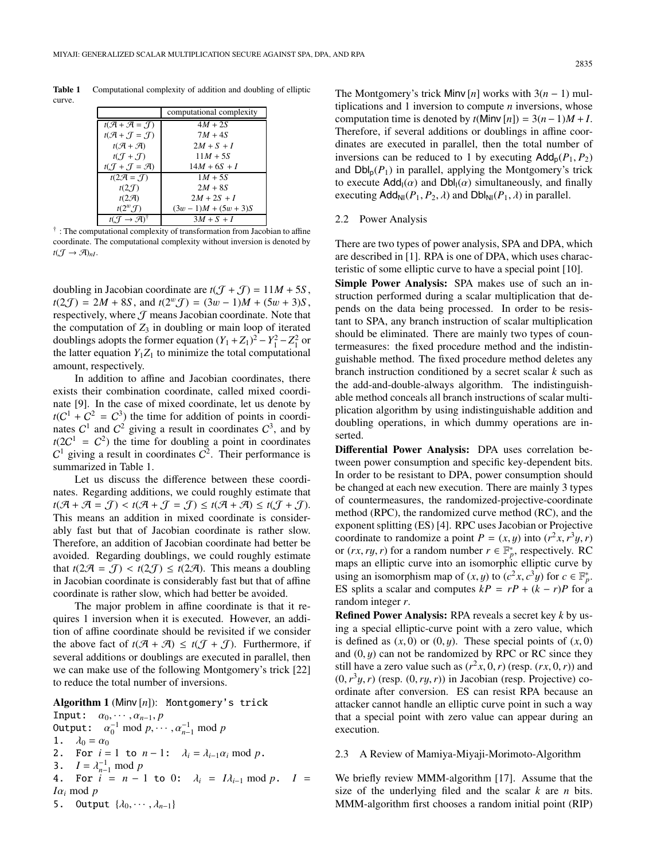**Table 1** Computational complexity of addition and doubling of elliptic curve.

|                                              | computational complexity |
|----------------------------------------------|--------------------------|
| $t(\mathcal{A} + \mathcal{A} = \mathcal{J})$ | $4M + 2S$                |
| $t(\mathcal{A} + \mathcal{J} = \mathcal{J})$ | $7M + 4S$                |
| $t(\mathcal{A}+\mathcal{A})$                 | $2M + S + I$             |
| $t(\mathcal{T}+\mathcal{T})$                 | $11M + 5S$               |
| $t(\mathcal{T} + \mathcal{T} = \mathcal{A})$ | $14M + 6S + I$           |
| $t(2\mathcal{A} = \mathcal{J})$              | $1M + 5S$                |
| $t(2,\mathcal{T})$                           | $2M + 8S$                |
| $t(2\mathcal{F})$                            | $2M + 2S + I$            |
| $t(2^w\mathcal{J})$                          | $(3w-1)M + (5w + 3)S$    |
| $t(T \to \mathcal{F})^T$                     | $3M + S + I$             |

† : The computational complexity of transformation from Jacobian to affine coordinate. The computational complexity without inversion is denoted by  $t(\mathcal{J}\rightarrow\mathcal{A})_{nI}$ .

doubling in Jacobian coordinate are  $t(J + J) = 11M + 5S$ ,  $t(2\mathcal{J}) = 2M + 8S$ , and  $t(2^w \mathcal{J}) = (3w - 1)M + (5w + 3)S$ , respectively, where  $J$  means Jacobian coordinate. Note that the computation of  $Z_3$  in doubling or main loop of iterated doublings adopts the former equation  $(Y_1 + Z_1)^2 - Y_1^2 - Z_1^2$  or the latter equation  $Y_1Z_1$  to minimize the total computational amount, respectively.

In addition to affine and Jacobian coordinates, there exists their combination coordinate, called mixed coordinate [9]. In the case of mixed coordinate, let us denote by  $t(C^1 + C^2 = C^3)$  the time for addition of points in coordinates  $C^1$  and  $C^2$  giving a result in coordinates  $C^3$ , and by  $t(2C^1 = C^2)$  the time for doubling a point in coordinates  $C<sup>1</sup>$  giving a result in coordinates  $C<sup>2</sup>$ . Their performance is summarized in Table 1.

Let us discuss the difference between these coordinates. Regarding additions, we could roughly estimate that  $t(\mathcal{A} + \mathcal{A} = \mathcal{J}) < t(\mathcal{A} + \mathcal{J} = \mathcal{J}) \le t(\mathcal{A} + \mathcal{A}) \le t(\mathcal{J} + \mathcal{J}).$ This means an addition in mixed coordinate is considerably fast but that of Jacobian coordinate is rather slow. Therefore, an addition of Jacobian coordinate had better be avoided. Regarding doublings, we could roughly estimate that  $t(2\mathcal{A} = \mathcal{J}) < t(2\mathcal{J}) \leq t(2\mathcal{A})$ . This means a doubling in Jacobian coordinate is considerably fast but that of affine coordinate is rather slow, which had better be avoided.

The major problem in affine coordinate is that it requires 1 inversion when it is executed. However, an addition of affine coordinate should be revisited if we consider the above fact of  $t(\mathcal{A} + \mathcal{A}) \leq t(\mathcal{J} + \mathcal{J})$ . Furthermore, if several additions or doublings are executed in parallel, then we can make use of the following Montgomery's trick [22] to reduce the total number of inversions.

**Algorithm 1** (Minv [*n*]): Montgomery's trick

Input:  $\alpha_0, \cdots, \alpha_{n-1}, p$ Output:  $\alpha_0^{-1} \mod p, \cdots, \alpha_{n-1}^{-1} \mod p$ 1.  $\lambda_0 = \alpha_0$ 2. For  $i = 1$  to  $n - 1$ :  $\lambda_i = \lambda_{i-1} \alpha_i \mod p$ . 3.  $I = \lambda_{n-1}^{-1} \mod p$ 4. For  $i = n - 1$  to 0:  $\lambda_i = I \lambda_{i-1} \mod p$ .  $I =$ *I*α*<sup>i</sup>* mod *p* 5. Output  $\{\lambda_0, \cdots, \lambda_{n-1}\}$ 

The Montgomery's trick Minv [*n*] works with 3(*n* − 1) multiplications and 1 inversion to compute *n* inversions, whose computation time is denoted by  $t$ (Minv  $[n]$ ) = 3( $n-1$ ) $M + I$ . Therefore, if several additions or doublings in affine coordinates are executed in parallel, then the total number of inversions can be reduced to 1 by executing  $Add_p(P_1, P_2)$ and  $\text{Db}_p(P_1)$  in parallel, applying the Montgomery's trick to execute  $Add_1(\alpha)$  and  $Dbl_1(\alpha)$  simultaneously, and finally executing  $\mathsf{Add}_{\mathsf{NI}}(P_1, P_2, \lambda)$  and  $\mathsf{Dbl}_{\mathsf{NI}}(P_1, \lambda)$  in parallel.

#### 2.2 Power Analysis

There are two types of power analysis, SPA and DPA, which are described in [1]. RPA is one of DPA, which uses characteristic of some elliptic curve to have a special point [10].

**Simple Power Analysis:** SPA makes use of such an instruction performed during a scalar multiplication that depends on the data being processed. In order to be resistant to SPA, any branch instruction of scalar multiplication should be eliminated. There are mainly two types of countermeasures: the fixed procedure method and the indistinguishable method. The fixed procedure method deletes any branch instruction conditioned by a secret scalar *k* such as the add-and-double-always algorithm. The indistinguishable method conceals all branch instructions of scalar multiplication algorithm by using indistinguishable addition and doubling operations, in which dummy operations are inserted.

**Differential Power Analysis:** DPA uses correlation between power consumption and specific key-dependent bits. In order to be resistant to DPA, power consumption should be changed at each new execution. There are mainly 3 types of countermeasures, the randomized-projective-coordinate method (RPC), the randomized curve method (RC), and the exponent splitting (ES) [4]. RPC uses Jacobian or Projective coordinate to randomize a point  $P = (x, y)$  into  $(r^2x, r^3y, r)$ or  $(rx, ry, r)$  for a random number  $r \in \mathbb{F}_p^*$ , respectively. RC maps an elliptic curve into an isomorphic elliptic curve by using an isomorphism map of  $(x, y)$  to  $(c^2x, c^3y)$  for  $c \in \mathbb{F}_p^*$ . ES splits a scalar and computes  $kP = rP + (k - r)P$  for a random integer *r*.

**Refined Power Analysis:** RPA reveals a secret key *k* by using a special elliptic-curve point with a zero value, which is defined as  $(x, 0)$  or  $(0, y)$ . These special points of  $(x, 0)$ and  $(0, y)$  can not be randomized by RPC or RC since they still have a zero value such as  $(r^2x, 0, r)$  (resp.  $(rx, 0, r)$ ) and  $(0, r<sup>3</sup>u, r)$  (resp.  $(0, ru, r)$ ) in Jacobian (resp. Projective) coordinate after conversion. ES can resist RPA because an attacker cannot handle an elliptic curve point in such a way that a special point with zero value can appear during an execution.

2.3 A Review of Mamiya-Miyaji-Morimoto-Algorithm

We briefly review MMM-algorithm [17]. Assume that the size of the underlying filed and the scalar *k* are *n* bits. MMM-algorithm first chooses a random initial point (RIP)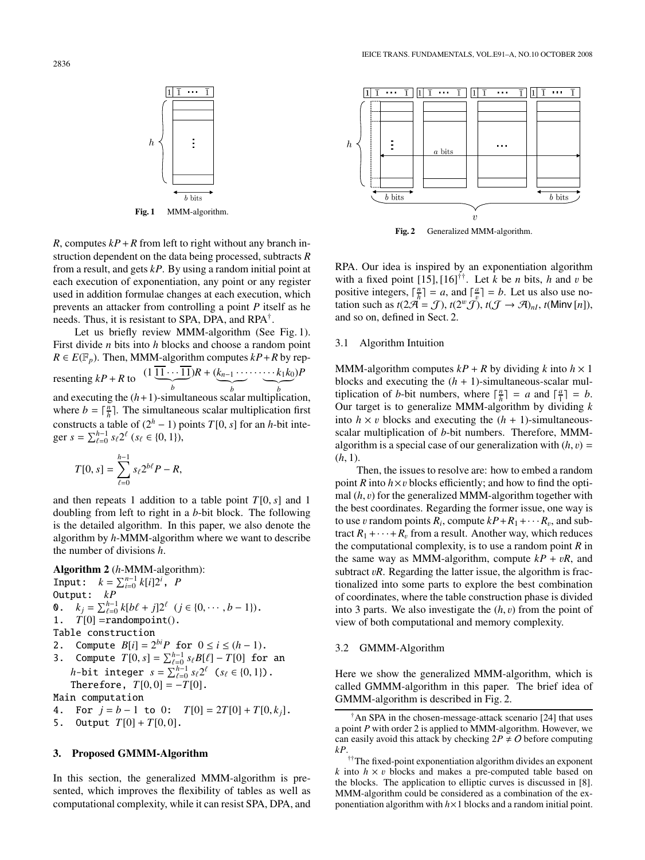

**Fig. 1** MMM-algorithm.

*R*, computes  $kP + R$  from left to right without any branch instruction dependent on the data being processed, subtracts *R* from a result, and gets *kP*. By using a random initial point at each execution of exponentiation, any point or any register used in addition formulae changes at each execution, which prevents an attacker from controlling a point *P* itself as he needs. Thus, it is resistant to SPA, DPA, and RPA†.

Let us briefly review MMM-algorithm (See Fig. 1). First divide *n* bits into *h* blocks and choose a random point  $R \in E(\mathbb{F}_p)$ . Then, MMM-algorithm computes  $kP + R$  by representing  $kP + R$  to  $\frac{(1 \underbrace{11 \cdots 11}_{b})}{h}$  *<sup>b</sup>*  $)R + (k_{n-1} \cdots)$  $\frac{h-1}{b}$  *<sup>b</sup>*  $\cdots\cdots k_1k_0$  $\frac{k_1 k}{b}$  *<sup>b</sup>* )*P*

and executing the  $(h+1)$ -simultaneous scalar multiplication, where  $b = \lceil \frac{n}{h} \rceil$ . The simultaneous scalar multiplication first constructs a table of  $(2<sup>h</sup> - 1)$  points *T*[0, *s*] for an *h*-bit integer  $s = \sum_{\ell=0}^{h-1} s_{\ell} 2^{\ell}$  ( $s_{\ell} \in \{0, 1\}$ ),

$$
T[0, s] = \sum_{\ell=0}^{h-1} s_{\ell} 2^{b\ell} P - R,
$$

and then repeats 1 addition to a table point *T*[0, *s*] and 1 doubling from left to right in a *b*-bit block. The following is the detailed algorithm. In this paper, we also denote the algorithm by *h*-MMM-algorithm where we want to describe the number of divisions *h*.

**Algorithm 2** (*h*-MMM-algorithm): Input:  $k = \sum_{i=0}^{n-1} k[i]2^i$ , *P* Output: *kP* 0.  $k_j = \sum_{\ell=0}^{h-1} k[b\ell + j]2^{\ell}$   $(j \in \{0, \dots, b-1\})$ . 1.  $T[0]$  =randompoint(). Table construction 2. Compute  $B[i] = 2^{bi}P$  for  $0 \le i \le (h - 1)$ . 3. Compute  $T[0, s] = \sum_{\ell=0}^{h-1} s_{\ell} B[\ell] - T[0]$  for an *h*−bit integer  $s = \sum_{\ell=0}^{h-1} s_{\ell} 2^{\ell}$  ( $s_{\ell} \in \{0, 1\}$ ). Therefore,  $T[0, 0] = -T[0]$ . Main computation

- 4. For  $j = b 1$  to 0:  $T[0] = 2T[0] + T[0, k<sub>i</sub>]$ .
- 5. Output  $T[0] + T[0,0]$ .

#### **3. Proposed GMMM-Algorithm**

In this section, the generalized MMM-algorithm is presented, which improves the flexibility of tables as well as computational complexity, while it can resist SPA, DPA, and



**Fig. 2** Generalized MMM-algorithm.

RPA. Our idea is inspired by an exponentiation algorithm with a fixed point [15],  $[16]$ <sup> $\dagger$ †</sup>. Let *k* be *n* bits, *h* and *v* be positive integers,  $\lceil \frac{n}{h} \rceil = a$ , and  $\lceil \frac{a}{v} \rceil = b$ . Let us also use notation such as  $t(2\mathcal{A} = \mathcal{J})$ ,  $t(2^w\mathcal{J})$ ,  $t(\mathcal{J} \rightarrow \mathcal{A})_{nI}$ ,  $t(\text{Minv }[n])$ , and so on, defined in Sect. 2.

### 3.1 Algorithm Intuition

MMM-algorithm computes  $kP + R$  by dividing k into  $h \times 1$ blocks and executing the  $(h + 1)$ -simultaneous-scalar multiplication of *b*-bit numbers, where  $\lceil \frac{n}{h} \rceil = a$  and  $\lceil \frac{a}{1} \rceil = b$ . Our target is to generalize MMM-algorithm by dividing *k* into  $h \times v$  blocks and executing the  $(h + 1)$ -simultaneousscalar multiplication of *b*-bit numbers. Therefore, MMMalgorithm is a special case of our generalization with  $(h, v)$  = (*h*, 1).

Then, the issues to resolve are: how to embed a random point *R* into  $h \times v$  blocks efficiently; and how to find the optimal (*h*, v) for the generalized MMM-algorithm together with the best coordinates. Regarding the former issue, one way is to use v random points  $R_i$ , compute  $kP+R_1+\cdots R_v$ , and subtract  $R_1 + \cdots + R_v$  from a result. Another way, which reduces the computational complexity, is to use a random point *R* in the same way as MMM-algorithm, compute  $kP + vR$ , and subtract *vR*. Regarding the latter issue, the algorithm is fractionalized into some parts to explore the best combination of coordinates, where the table construction phase is divided into 3 parts. We also investigate the (*h*, v) from the point of view of both computational and memory complexity.

## 3.2 GMMM-Algorithm

Here we show the generalized MMM-algorithm, which is called GMMM-algorithm in this paper. The brief idea of GMMM-algorithm is described in Fig. 2.

<sup>†</sup>An SPA in the chosen-message-attack scenario [24] that uses a point *P* with order 2 is applied to MMM-algorithm. However, we can easily avoid this attack by checking  $2P \neq O$  before computing *kP*.

<sup>††</sup>The fixed-point exponentiation algorithm divides an exponent  $k$  into  $h \times v$  blocks and makes a pre-computed table based on the blocks. The application to elliptic curves is discussed in [8]. MMM-algorithm could be considered as a combination of the exponentiation algorithm with  $h \times 1$  blocks and a random initial point.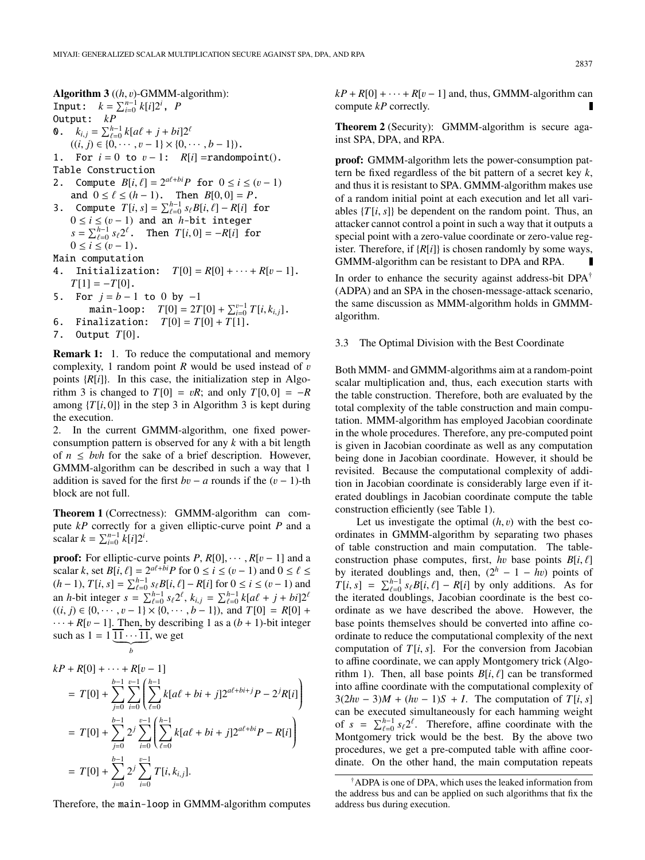2837

**Algorithm 3** ((*h*, v)-GMMM-algorithm): Input:  $k = \sum_{i=0}^{n-1} k[i]2^i$ , *P* Output: *kP* 0.  $k_{i,j} = \sum_{\ell=0}^{h-1} k[a\ell + j + bi]2^{\ell}$  $((i, j) \in \{0, \cdots, v-1\} \times \{0, \cdots, b-1\}).$ 1. For  $i = 0$  to  $v - 1$ :  $R[i] = \text{randompoint}()$ . Table Construction 2. Compute  $B[i, \ell] = 2^{a\ell + bi} P$  for  $0 \le i \le (v - 1)$ and  $0 \le \ell \le (h-1)$ . Then  $B[0,0] = P$ . 3. Compute  $T[i, s] = \sum_{\ell=0}^{h-1} s_{\ell} B[i, \ell] - R[i]$  for  $0 \le i \le (v - 1)$  and an *h*-bit integer  $s = \sum_{\ell=0}^{h-1} s_{\ell} 2^{\ell}$ . Then  $T[i, 0] = -R[i]$  for  $0 \le i \le (v - 1)$ . Main computation 4. Initialization:  $T[0] = R[0] + \cdots + R[v-1]$ .  $T[1] = -T[0]$ . 5. For  $j = b - 1$  to 0 by  $-1$  $\text{main-loop:} \quad T[0] = 2T[0] + \sum_{i=0}^{v-1} T[i, k_{i,j}].$ 6. Finalization:  $T[0] = T[0] + T[1]$ .

7. Output *T*[0].

**Remark 1:** 1. To reduce the computational and memory complexity, 1 random point  $R$  would be used instead of  $v$ points {*R*[*i*]}. In this case, the initialization step in Algorithm 3 is changed to  $T[0] = vR$ ; and only  $T[0, 0] = -R$ among  ${T[i, 0]}$  in the step 3 in Algorithm 3 is kept during the execution.

2. In the current GMMM-algorithm, one fixed powerconsumption pattern is observed for any *k* with a bit length of  $n \leq bwh$  for the sake of a brief description. However, GMMM-algorithm can be described in such a way that 1 addition is saved for the first  $bv - a$  rounds if the  $(v - 1)$ -th block are not full.

**Theorem 1** (Correctness): GMMM-algorithm can compute *kP* correctly for a given elliptic-curve point *P* and a scalar  $k = \sum_{i=0}^{n-1} k[i]2^i$ .

**proof:** For elliptic-curve points  $P$ ,  $R[0], \cdots, R[v-1]$  and a scalar *k*, set  $B[i, \ell] = 2^{a\ell + bi} P$  for  $0 \le i \le (v - 1)$  and  $0 \le \ell \le$  $(h-1)$ ,  $T[i, s] = \sum_{\ell=0}^{h-1} s_{\ell} B[i, \ell] - R[i]$  for  $0 \le i \le (v-1)$  and an *h*-bit integer  $s = \sum_{\ell=0}^{h-1} s_{\ell} 2^{\ell}$ ,  $k_{i,j} = \sum_{\ell=0}^{h-1} k[a\ell + j + bi]2^{\ell}$  $((i, j) ∈ {0, ···, v − 1} × {0, ···, b − 1}),$  and  $T[0] = R[0] +$  $\cdots + R[v-1]$ . Then, by describing 1 as a  $(b + 1)$ -bit integer such as  $1 = 1 \, 1 \, 1 \cdots 11$  $\frac{1\cdots 1}{b}$  *<sup>b</sup>* , we get

$$
kP + R[0] + \cdots + R[v-1]
$$
  
=  $T[0] + \sum_{j=0}^{b-1} \sum_{i=0}^{v-1} \left( \sum_{\ell=0}^{h-1} k[a\ell + bi + j]2^{a\ell + bi + j}P - 2^{j}R[i] \right)$   
=  $T[0] + \sum_{j=0}^{b-1} 2^{j} \sum_{i=0}^{v-1} \left( \sum_{\ell=0}^{h-1} k[a\ell + bi + j]2^{a\ell + bi}P - R[i] \right)$   
=  $T[0] + \sum_{j=0}^{b-1} 2^{j} \sum_{i=0}^{v-1} T[i, k_{i,j}].$ 

Therefore, the main-loop in GMMM-algorithm computes

 $kP + R[0] + \cdots + R[v-1]$  and, thus, GMMM-algorithm can compute *kP* correctly.

**Theorem 2** (Security): GMMM-algorithm is secure against SPA, DPA, and RPA.

**proof:** GMMM-algorithm lets the power-consumption pattern be fixed regardless of the bit pattern of a secret key *k*, and thus it is resistant to SPA. GMMM-algorithm makes use of a random initial point at each execution and let all variables  ${T[i, s]}$  be dependent on the random point. Thus, an attacker cannot control a point in such a way that it outputs a special point with a zero-value coordinate or zero-value register. Therefore, if {*R*[*i*]} is chosen randomly by some ways, GMMM-algorithm can be resistant to DPA and RPA.

In order to enhance the security against address-bit DPA† (ADPA) and an SPA in the chosen-message-attack scenario, the same discussion as MMM-algorithm holds in GMMMalgorithm.

#### 3.3 The Optimal Division with the Best Coordinate

Both MMM- and GMMM-algorithms aim at a random-point scalar multiplication and, thus, each execution starts with the table construction. Therefore, both are evaluated by the total complexity of the table construction and main computation. MMM-algorithm has employed Jacobian coordinate in the whole procedures. Therefore, any pre-computed point is given in Jacobian coordinate as well as any computation being done in Jacobian coordinate. However, it should be revisited. Because the computational complexity of addition in Jacobian coordinate is considerably large even if iterated doublings in Jacobian coordinate compute the table construction efficiently (see Table 1).

Let us investigate the optimal  $(h, v)$  with the best coordinates in GMMM-algorithm by separating two phases of table construction and main computation. The tableconstruction phase computes, first, *hv* base points  $B[i, \ell]$ by iterated doublings and, then,  $(2<sup>h</sup> - 1 - hv)$  points of  $T[i, s] = \sum_{\ell=0}^{h-1} s_{\ell} B[i, \ell] - R[i]$  by only additions. As for the iterated doublings, Jacobian coordinate is the best coordinate as we have described the above. However, the base points themselves should be converted into affine coordinate to reduce the computational complexity of the next computation of  $T[i, s]$ . For the conversion from Jacobian to affine coordinate, we can apply Montgomery trick (Algorithm 1). Then, all base points  $B[i, \ell]$  can be transformed into affine coordinate with the computational complexity of  $3(2hv - 3)M + (hv - 1)S + I$ . The computation of *T*[*i*, *s*] can be executed simultaneously for each hamming weight of  $s = \sum_{\ell=0}^{h-1} s_{\ell} 2^{\ell}$ . Therefore, affine coordinate with the Montgomery trick would be the best. By the above two procedures, we get a pre-computed table with affine coordinate. On the other hand, the main computation repeats

<sup>†</sup>ADPA is one of DPA, which uses the leaked information from the address bus and can be applied on such algorithms that fix the address bus during execution.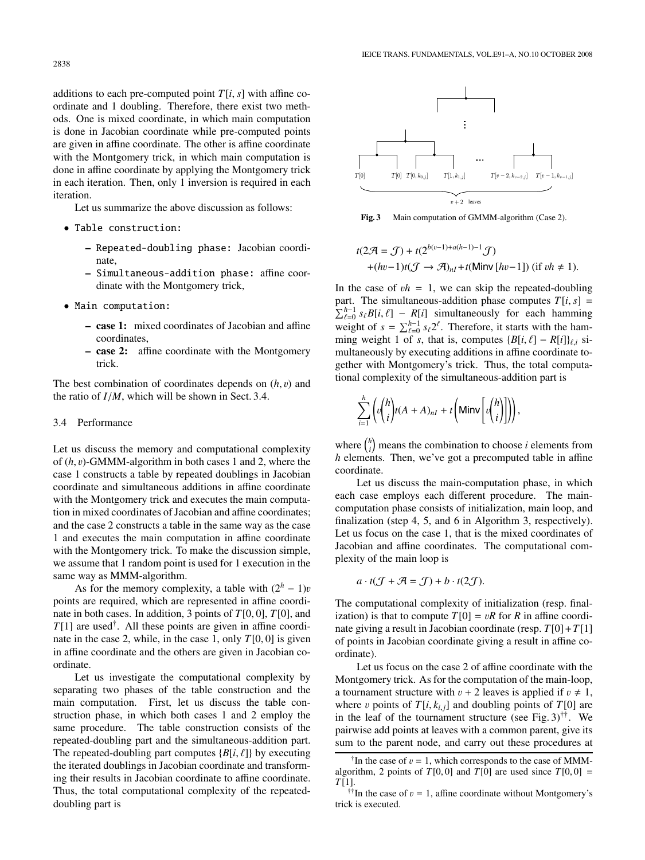additions to each pre-computed point  $T[i, s]$  with affine coordinate and 1 doubling. Therefore, there exist two methods. One is mixed coordinate, in which main computation is done in Jacobian coordinate while pre-computed points are given in affine coordinate. The other is affine coordinate with the Montgomery trick, in which main computation is done in affine coordinate by applying the Montgomery trick in each iteration. Then, only 1 inversion is required in each iteration.

Let us summarize the above discussion as follows:

- Table construction:
	- **–** Repeated-doubling phase: Jacobian coordinate,
	- **–** Simultaneous-addition phase: affine coordinate with the Montgomery trick,
- Main computation:
	- **case 1:** mixed coordinates of Jacobian and affine coordinates,
	- **case 2:** affine coordinate with the Montgomery trick.

The best combination of coordinates depends on (*h*, v) and the ratio of *I*/*M*, which will be shown in Sect. 3.4.

#### 3.4 Performance

Let us discuss the memory and computational complexity of (*h*, v)-GMMM-algorithm in both cases 1 and 2, where the case 1 constructs a table by repeated doublings in Jacobian coordinate and simultaneous additions in affine coordinate with the Montgomery trick and executes the main computation in mixed coordinates of Jacobian and affine coordinates; and the case 2 constructs a table in the same way as the case 1 and executes the main computation in affine coordinate with the Montgomery trick. To make the discussion simple, we assume that 1 random point is used for 1 execution in the same way as MMM-algorithm.

As for the memory complexity, a table with  $(2<sup>h</sup> - 1)<sup>v</sup>$ points are required, which are represented in affine coordinate in both cases. In addition, 3 points of *T*[0, 0], *T*[0], and  $T[1]$  are used<sup>†</sup>. All these points are given in affine coordinate in the case 2, while, in the case 1, only *T*[0, 0] is given in affine coordinate and the others are given in Jacobian coordinate.

Let us investigate the computational complexity by separating two phases of the table construction and the main computation. First, let us discuss the table construction phase, in which both cases 1 and 2 employ the same procedure. The table construction consists of the repeated-doubling part and the simultaneous-addition part. The repeated-doubling part computes  ${B[i, \ell]}$  by executing the iterated doublings in Jacobian coordinate and transforming their results in Jacobian coordinate to affine coordinate. Thus, the total computational complexity of the repeateddoubling part is



**Fig. 3** Main computation of GMMM-algorithm (Case 2).

$$
t(2\mathcal{A} = \mathcal{J}) + t(2^{b(v-1) + a(h-1) - 1}\mathcal{J})
$$
  
+ 
$$
(hv-1)t(\mathcal{J} \to \mathcal{A})_{nl} + t(\text{Minv } [hv-1]) \text{ (if } vh \neq 1).
$$

In the case of  $vh = 1$ , we can skip the repeated-doubling part. The simultaneous-addition phase computes  $T[i, s] =$  $\sum_{\ell=0}^{h-1} s_{\ell} B[i,\ell] - R[i]$  simultaneously for each hamming weight of  $s = \sum_{\ell=0}^{h-1} s_{\ell} 2^{\ell}$ . Therefore, it starts with the hamming weight 1 of *s*, that is, computes  ${B[i, \ell] - R[i]}_{\ell, i}$  simultaneously by executing additions in affine coordinate together with Montgomery's trick. Thus, the total computational complexity of the simultaneous-addition part is

$$
\sum_{i=1}^h \left( v \binom{h}{i} t (A + A)_{nI} + t \left( \text{Minv} \left[ v \binom{h}{i} \right] \right) \right),
$$

where  $\binom{h}{i}$  means the combination to choose *i* elements from *h* elements. Then, we've got a precomputed table in affine coordinate.

Let us discuss the main-computation phase, in which each case employs each different procedure. The maincomputation phase consists of initialization, main loop, and finalization (step 4, 5, and 6 in Algorithm 3, respectively). Let us focus on the case 1, that is the mixed coordinates of Jacobian and affine coordinates. The computational complexity of the main loop is

$$
a \cdot t(\mathcal{J} + \mathcal{A} = \mathcal{J}) + b \cdot t(2\mathcal{J}).
$$

The computational complexity of initialization (resp. finalization) is that to compute  $T[0] = vR$  for *R* in affine coordinate giving a result in Jacobian coordinate (resp.  $T[0]+T[1]$ of points in Jacobian coordinate giving a result in affine coordinate).

Let us focus on the case 2 of affine coordinate with the Montgomery trick. As for the computation of the main-loop, a tournament structure with  $v + 2$  leaves is applied if  $v \neq 1$ , where v points of  $T[i, k_{i,j}]$  and doubling points of  $T[0]$  are in the leaf of the tournament structure (see Fig. 3)<sup>††</sup>. We pairwise add points at leaves with a common parent, give its sum to the parent node, and carry out these procedures at

In the case of  $v = 1$ , which corresponds to the case of MMMalgorithm, 2 points of  $T[0, 0]$  and  $T[0]$  are used since  $T[0, 0] =$ *T*[1].

<sup>&</sup>lt;sup>††</sup>In the case of  $v = 1$ , affine coordinate without Montgomery's trick is executed.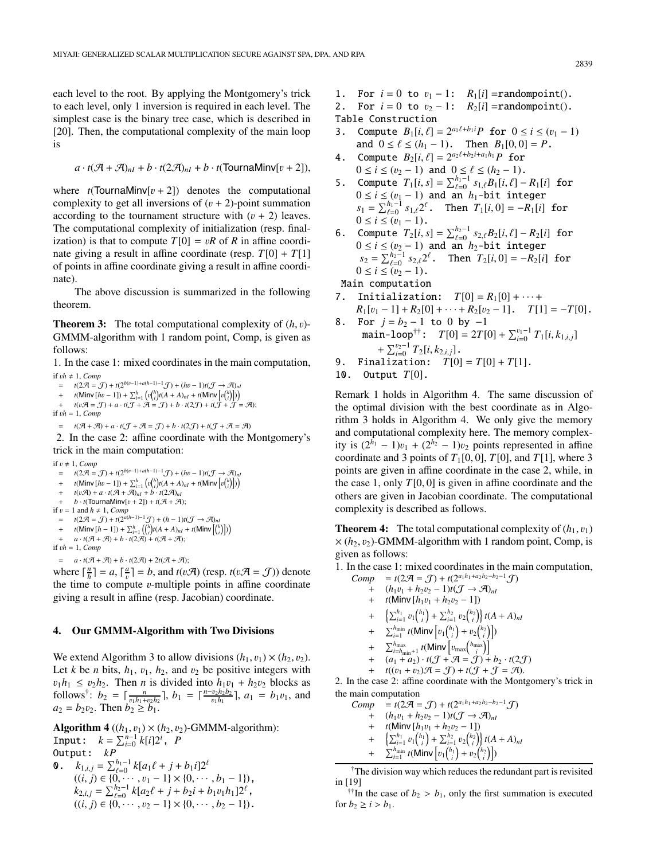each level to the root. By applying the Montgomery's trick to each level, only 1 inversion is required in each level. The simplest case is the binary tree case, which is described in [20]. Then, the computational complexity of the main loop is

$$
a \cdot t(\mathcal{A} + \mathcal{A})_{nI} + b \cdot t(2\mathcal{A})_{nI} + b \cdot t(\text{TournaMinv}[v + 2]),
$$

where  $t$ (TournaMinv[ $v + 2$ ]) denotes the computational complexity to get all inversions of  $(v + 2)$ -point summation according to the tournament structure with  $(v + 2)$  leaves. The computational complexity of initialization (resp. finalization) is that to compute  $T[0] = vR$  of R in affine coordinate giving a result in affine coordinate (resp.  $T[0] + T[1]$ of points in affine coordinate giving a result in affine coordinate).

The above discussion is summarized in the following theorem.

**Theorem 3:** The total computational complexity of (*h*, v)- GMMM-algorithm with 1 random point, Comp, is given as follows:

1. In the case 1: mixed coordinates in the main computation, if  $vh \neq 1$ , *Comp* 

- $t(2\mathcal{A} = \mathcal{A}) + t(2^{b(v-1)+a(h-1)-1}\mathcal{A}) + (hv-1)t(\mathcal{A} \to \mathcal{A})_{nl}$ +  $t(Minv [hv - 1]) + \sum_{i=1}^{h} (v {h \choose i} t(A + A)_{nI} + t(Minv [v {h \choose i}])$ +  $t(v\mathcal{A} = \mathcal{J}) + a \cdot t(\mathcal{J} + \mathcal{A} = \mathcal{J}) + b \cdot t(2\mathcal{J}) + t(\mathcal{J} + \mathcal{J} = \mathcal{A});$ if  $vh = 1$ , *Comp*
- $=$  *t*( $\mathcal{A} + \mathcal{A}$ ) + *a* · *t*( $\mathcal{J} + \mathcal{A} = \mathcal{J}$ ) + *b* · *t*(2 $\mathcal{J}$ ) + *t*( $\mathcal{J} + \mathcal{A} = \mathcal{A}$ )

2. In the case 2: affine coordinate with the Montgomery's trick in the main computation:

if  $v \neq 1$ , *Comp*  $t \in (2\mathcal{A} = \mathcal{J}) + t(2^{b(v-1)+a(h-1)-1}\mathcal{J}) + (hv-1)t(\mathcal{J} \to \mathcal{A})_{nl}$ +  $t$ (Minv  $[hv - 1]$ ) +  $\sum_{i=1}^{h} (v_{i}^{(h)}t(A + A)_{nI} + t(\text{Minv} [v_{i}^{(h)}]))$  $t(v\mathcal{A}) + a \cdot t(\mathcal{A} + \mathcal{A})_{nI} + b \cdot t(2\mathcal{A})_{nI}$  $b \cdot t$ (TournaMinv[v + 2]) +  $t(A + A)$ ; if *v* = 1 and *h* ≠ 1, *Comp*<br>=  $t(2\mathcal{A} = \mathcal{J}) + t(2^{a(h-1)-1}\mathcal{J}) + (h-1)t(\mathcal{J} \to \mathcal{A})_{nl}$ +  $t(Minv [h-1]) + \sum_{i=1}^{h} \left( {h \choose i} t(A+A)_{nI} + t(Minv [h \choose i]) \right)$  $a \cdot t(\mathcal{A} + \mathcal{A}) + b \cdot t(2\mathcal{A}) + t(\mathcal{A} + \mathcal{A});$ if v*h* = 1, *Comp* =  $a \cdot t(\mathcal{A} + \mathcal{A}) + b \cdot t(2\mathcal{A}) + 2t(\mathcal{A} + \mathcal{A});$ 

where  $\lceil \frac{n}{h} \rceil = a$ ,  $\lceil \frac{a}{v} \rceil = b$ , and  $t(vA)$  (resp.  $t(vA = J)$ ) denote the time to compute  $v$ -multiple points in affine coordinate giving a result in affine (resp. Jacobian) coordinate.

#### **4. Our GMMM-Algorithm with Two Divisions**

We extend Algorithm 3 to allow divisions  $(h_1, v_1) \times (h_2, v_2)$ . Let *k* be *n* bits,  $h_1$ ,  $v_1$ ,  $h_2$ , and  $v_2$  be positive integers with  $v_1h_1 \le v_2h_2$ . Then *n* is divided into  $h_1v_1 + h_2v_2$  blocks as follows<sup>†</sup>:  $b_2 = \left[\frac{n}{v_1h_1+v_2h_2}\right], b_1 = \left[\frac{n-v_2h_2b_2}{v_1h_1}\right], a_1 = b_1v_1$ , and  $a_2 = b_2 v_2$ . Then  $b_2 \geq b_1$ .

**Algorithm 4** ( $(h_1, v_1) \times (h_2, v_2)$ -GMMM-algorithm): Input:  $k = \sum_{i=0}^{n-1} k[i]2^i$ , *P* Output: *kP* 0.  $k_{1,i,j} = \sum_{\ell=0}^{h_1-1} k[a_1\ell + j + b_1i]2^{\ell}$  $((i, j) \in \{0, \cdots, v_1 - 1\} \times \{0, \cdots, b_1 - 1\}),$  $k_{2,i,j} = \sum_{\ell=0}^{h_2-1} k[a_2 \ell + j + b_2 i + b_1 v_1 h_1]2^{\ell},$  $((i, j) \in \{0, \cdots, v_2 - 1\} \times \{0, \cdots, b_2 - 1\}).$ 

- 1. For  $i = 0$  to  $v_1 1$ :  $R_1[i] = \text{randompoint}()$ .
- 2. For  $i = 0$  to  $v_2 1$ :  $R_2[i] = \text{randompoint}()$ . Table Construction
- 3. Compute  $B_1[i, \ell] = 2^{a_1 \ell + b_1 i} P$  for  $0 \le i \le (v_1 1)$ and  $0 \le \ell \le (h_1 - 1)$ . Then  $B_1[0, 0] = P$ .
- 4. Compute  $B_2[i, \ell] = 2^{a_2\ell + b_2i + a_1h_1}P$  for  $0 \le i \le (v_2 - 1)$  and  $0 \le \ell \le (h_2 - 1)$ .
- 5. Compute  $T_1[i, s] = \sum_{\ell=0}^{h_1-1} s_{1,\ell} B_1[i, \ell] R_1[i]$  for  $0 \le i \le (v_1 - 1)$  and an  $h_1$ -bit integer  $s_1 = \sum_{\ell=0}^{h_1-1} s_{1,\ell} 2^{\ell}$ . Then  $T_1[i,0] = -R_1[i]$  for  $0 \le i \le (v_1 - 1)$ .
- 6. Compute  $T_2[i, s] = \sum_{\ell=0}^{h_2-1} s_{2,\ell} B_2[i, \ell] R_2[i]$  for  $0 \le i \le (v_2 - 1)$  and an  $h_2$ -bit integer  $s_2 = \sum_{\ell=0}^{h_2-1} s_{2,\ell} 2^{\ell}$ . Then  $T_2[i, 0] = -R_2[i]$  for  $0 \le i \le (v_2 - 1)$ .

Main computation

- 7. Initialization:  $T[0] = R_1[0] + \cdots +$  $R_1[v_1 - 1] + R_2[0] + \cdots + R_2[v_2 - 1]$ .  $T[1] = -T[0]$ .
- 8. For *j* = *b*<sup>2</sup> − 1 to 0 by −1  $\text{main-loop}^{\dagger\dagger}: \quad T[0] = 2T[0] + \sum_{i=0}^{v_1-1} T_1[i, k_{1,i,j}]$  $+ \sum_{i=0}^{v_2-1} T_2[i, k_{2,i,j}].$
- 9. Finalization:  $T[0] = T[0] + T[1]$ .

10. Output *T*[0].

Remark 1 holds in Algorithm 4. The same discussion of the optimal division with the best coordinate as in Algorithm 3 holds in Algorithm 4. We only give the memory and computational complexity here. The memory complexity is  $(2^{h_1} - 1)v_1 + (2^{h_2} - 1)v_2$  points represented in affine coordinate and 3 points of  $T_1[0, 0]$ ,  $T[0]$ , and  $T[1]$ , where 3 points are given in affine coordinate in the case 2, while, in the case 1, only  $T[0, 0]$  is given in affine coordinate and the others are given in Jacobian coordinate. The computational complexity is described as follows.

**Theorem 4:** The total computational complexity of  $(h_1, v_1)$  $\times (h_2, v_2)$ -GMMM-algorithm with 1 random point, Comp, is given as follows:

1. In the case 1: mixed coordinates in the main computation,  $Comp$  =  $t(2A = J) + t(2^{a_1h_1+a_2h_2-b_2-1}J)$ 

- +  $(h_1v_1 + h_2v_2 1)t(J → A)_{nI}$
- + *t*(Minv  $[h_1v_1 + h_2v_2 1]$ )
- +  $\left\{\sum_{i=1}^{h_1} v_1 \binom{h_1}{i} + \sum_{i=1}^{h_2} v_2 \binom{h_2}{i} \right\} t (A + A)_{nl}$

$$
+ \sum_{i=1}^{h_{\min}} t(\text{Minv}\left[v_1\binom{h_1}{i} + v_2\binom{h_2}{i}\right])
$$

- +  $\sum_{i=h_{\text{min}}+1}^{h_{\text{max}}} t(\text{Minv}\left[v_{\text{max}}\left(\frac{h_{\text{max}}}{i}\right)\right]$
- +  $(a_1 + a_2) \cdot t(\mathcal{J} + \mathcal{A} = \mathcal{J}) + b_2 \cdot t(2\mathcal{J})$
- +  $t((v_1 + v_2)\mathcal{A} = \mathcal{J}) + t(\mathcal{J} + \mathcal{J} = \mathcal{A}).$

2. In the case 2: affine coordinate with the Montgomery's trick in the main computation

 $Comp$  =  $t(2\mathcal{A} = \mathcal{J}) + t(2^{a_1h_1+a_2h_2-b_2-1}\mathcal{J})$ +  $(h_1v_1 + h_2v_2 - 1)t(J \rightarrow \mathcal{A})_{nI}$ +  $t(\text{Minv } [h_1v_1 + h_2v_2 - 1])$ +  $\left\{\sum_{i=1}^{h_1} v_1 \binom{h_1}{i} + \sum_{i=1}^{h_2} v_2 \binom{h_2}{i} \right\} t (A + A)_{nl}$ +  $\sum_{i=1}^{h_{\min}} t(\text{Minv}\left[v_1\binom{h_1}{i} + v_2\binom{h_2}{i}\right])$ 

†The division way which reduces the redundant part is revisited in [19]

<sup>††</sup>In the case of  $b_2 > b_1$ , only the first summation is executed for  $b_2 \ge i > b_1$ .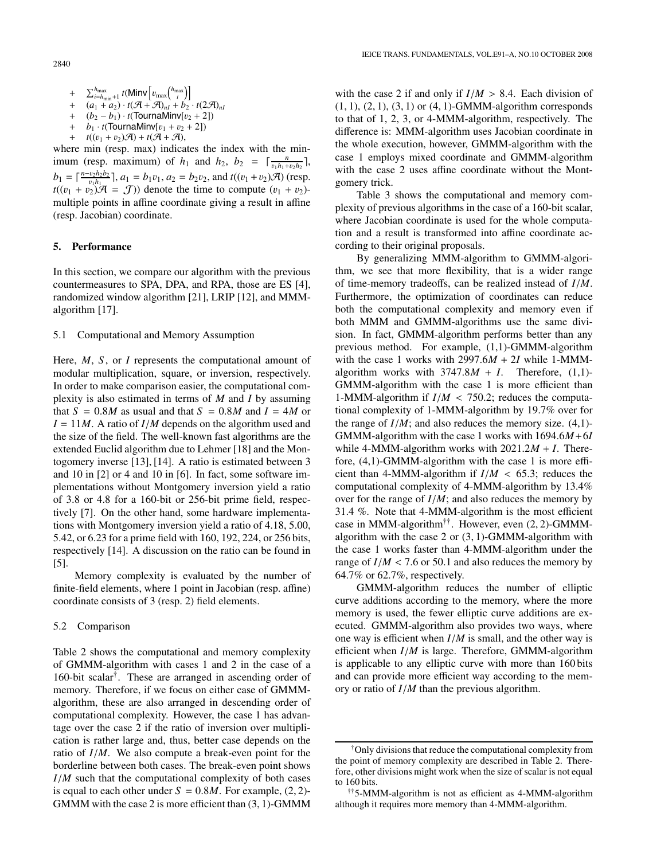+  $\sum_{i=h_{\text{min}}+1}^{h_{\text{max}}} t(\text{Minv} \left[ v_{\text{max}} \left( \frac{h_{\text{max}}}{i} \right) \right]$ 

- +  $(a_1 + a_2) \cdot t(\mathcal{A} + \mathcal{A})_{nI} + b_2 \cdot t(2\mathcal{A})_{nI}$
- +  $(b_2 b_1) \cdot t$ (TournaMinv[ $v_2 + 2$ ])
- +  $b_1 \cdot t$ (TournaMinv[ $v_1 + v_2 + 2$ ])
- +  $t((v_1 + v_2)\mathcal{A}) + t(\mathcal{A} + \mathcal{A}),$

where min (resp. max) indicates the index with the minimum (resp. maximum) of  $h_1$  and  $h_2$ ,  $b_2 = \lceil \frac{n}{v_1 h_1 + v_2 h_2} \rceil$ ,  $b_1 = \left[\frac{n-v_2h_2b_2}{v_1h_1}\right]$ ,  $a_1 = b_1v_1$ ,  $a_2 = b_2v_2$ , and  $t((v_1 + v_2)\mathcal{A})$  (resp.  $t((v_1 + v_2)\mathcal{A} = \mathcal{J})$  denote the time to compute  $(v_1 + v_2)$ multiple points in affine coordinate giving a result in affine (resp. Jacobian) coordinate.

## **5. Performance**

In this section, we compare our algorithm with the previous countermeasures to SPA, DPA, and RPA, those are ES [4], randomized window algorithm [21], LRIP [12], and MMMalgorithm [17].

## 5.1 Computational and Memory Assumption

Here, *M*, *S*, or *I* represents the computational amount of modular multiplication, square, or inversion, respectively. In order to make comparison easier, the computational complexity is also estimated in terms of *M* and *I* by assuming that  $S = 0.8M$  as usual and that  $S = 0.8M$  and  $I = 4M$  or  $I = 11M$ . A ratio of  $I/M$  depends on the algorithm used and the size of the field. The well-known fast algorithms are the extended Euclid algorithm due to Lehmer [18] and the Montogomery inverse [13], [14]. A ratio is estimated between 3 and 10 in [2] or 4 and 10 in [6]. In fact, some software implementations without Montgomery inversion yield a ratio of 3.8 or 4.8 for a 160-bit or 256-bit prime field, respectively [7]. On the other hand, some hardware implementations with Montgomery inversion yield a ratio of 4.18, 5.00, 5.42, or 6.23 for a prime field with 160, 192, 224, or 256 bits, respectively [14]. A discussion on the ratio can be found in [5].

Memory complexity is evaluated by the number of finite-field elements, where 1 point in Jacobian (resp. affine) coordinate consists of 3 (resp. 2) field elements.

## 5.2 Comparison

Table 2 shows the computational and memory complexity of GMMM-algorithm with cases 1 and 2 in the case of a 160-bit scalar†. These are arranged in ascending order of memory. Therefore, if we focus on either case of GMMMalgorithm, these are also arranged in descending order of computational complexity. However, the case 1 has advantage over the case 2 if the ratio of inversion over multiplication is rather large and, thus, better case depends on the ratio of *I*/*M*. We also compute a break-even point for the borderline between both cases. The break-even point shows *I*/*M* such that the computational complexity of both cases is equal to each other under  $S = 0.8M$ . For example,  $(2, 2)$ -GMMM with the case 2 is more efficient than (3, 1)-GMMM

with the case 2 if and only if  $I/M > 8.4$ . Each division of  $(1, 1), (2, 1), (3, 1)$  or  $(4, 1)$ -GMMM-algorithm corresponds to that of 1, 2, 3, or 4-MMM-algorithm, respectively. The difference is: MMM-algorithm uses Jacobian coordinate in the whole execution, however, GMMM-algorithm with the case 1 employs mixed coordinate and GMMM-algorithm with the case 2 uses affine coordinate without the Montgomery trick.

Table 3 shows the computational and memory complexity of previous algorithms in the case of a 160-bit scalar, where Jacobian coordinate is used for the whole computation and a result is transformed into affine coordinate according to their original proposals.

By generalizing MMM-algorithm to GMMM-algorithm, we see that more flexibility, that is a wider range of time-memory tradeoffs, can be realized instead of *I*/*M*. Furthermore, the optimization of coordinates can reduce both the computational complexity and memory even if both MMM and GMMM-algorithms use the same division. In fact, GMMM-algorithm performs better than any previous method. For example, (1,1)-GMMM-algorithm with the case 1 works with  $2997.6M + 2I$  while 1-MMMalgorithm works with  $3747.8M + I$ . Therefore,  $(1,1)$ -GMMM-algorithm with the case 1 is more efficient than 1-MMM-algorithm if *I*/*M* < 750.2; reduces the computational complexity of 1-MMM-algorithm by 19.7% over for the range of  $I/M$ ; and also reduces the memory size.  $(4,1)$ -GMMM-algorithm with the case 1 works with 1694.6*M*+6*I* while 4-MMM-algorithm works with  $2021.2M + I$ . Therefore, (4,1)-GMMM-algorithm with the case 1 is more efficient than 4-MMM-algorithm if *I*/*M* < 65.3; reduces the computational complexity of 4-MMM-algorithm by 13.4% over for the range of *I*/*M*; and also reduces the memory by 31.4 %. Note that 4-MMM-algorithm is the most efficient case in MMM-algorithm<sup>††</sup>. However, even  $(2, 2)$ -GMMMalgorithm with the case 2 or (3, 1)-GMMM-algorithm with the case 1 works faster than 4-MMM-algorithm under the range of  $I/M < 7.6$  or 50.1 and also reduces the memory by 64.7% or 62.7%, respectively.

GMMM-algorithm reduces the number of elliptic curve additions according to the memory, where the more memory is used, the fewer elliptic curve additions are executed. GMMM-algorithm also provides two ways, where one way is efficient when *I*/*M* is small, and the other way is efficient when *I*/*M* is large. Therefore, GMMM-algorithm is applicable to any elliptic curve with more than 160 bits and can provide more efficient way according to the memory or ratio of *I*/*M* than the previous algorithm.

2840

<sup>†</sup>Only divisions that reduce the computational complexity from the point of memory complexity are described in Table 2. Therefore, other divisions might work when the size of scalar is not equal to 160 bits.

<sup>††</sup>5-MMM-algorithm is not as efficient as 4-MMM-algorithm although it requires more memory than 4-MMM-algorithm.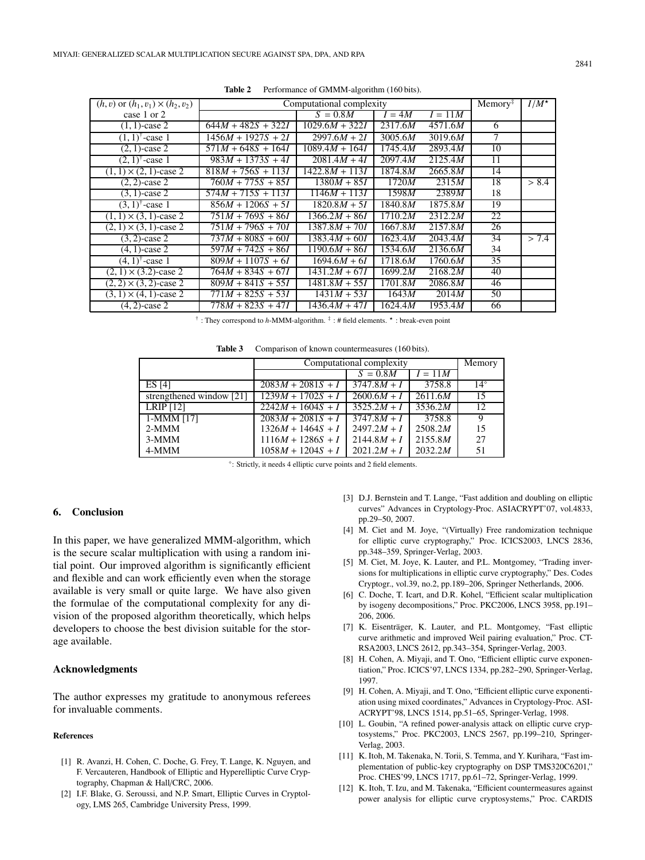| $(h, v)$ or $(h_1, v_1) \times (h_2, v_2)$ | Computational complexity   |                  |          |           | $Memory$ <sup><math>\mp</math></sup> | $I/M^{\star}$ |
|--------------------------------------------|----------------------------|------------------|----------|-----------|--------------------------------------|---------------|
| case 1 or 2                                |                            | $S = 0.8M$       | $I = 4M$ | $I = 11M$ |                                      |               |
| $(1, 1)$ -case 2                           | $644M + 482S + 322I$       | $1029.6M + 322I$ | 2317.6M  | 4571.6M   | 6                                    |               |
| $(1, 1)^{\dagger}$ -case 1                 | $1456M + 1927S + 2I$       | $2997.6M + 2I$   | 3005.6M  | 3019.6M   | 7                                    |               |
| $(2, 1)$ -case 2                           | $571M + 648S + 164I$       | $1089.4M + 164I$ | 1745.4M  | 2893.4M   | 10                                   |               |
| $(2, 1)^{\dagger}$ -case 1                 | $983M + 1373S + 4I$        | $2081.4M + 4I$   | 2097.4M  | 2125.4M   | 11                                   |               |
| $(1, 1) \times (2, 1)$ -case 2             | $818M + 756S + 113I$       | $1422.8M + 113I$ | 1874.8M  | 2665.8M   | 14                                   |               |
| $(2, 2)$ -case 2                           | $\sqrt{760M} + 775S + 85I$ | $1380M + 85I$    | 1720M    | 2315M     | 18                                   | > 8.4         |
| $(3, 1)$ -case 2                           | $574M + 715S + 113I$       | $1146M + 113I$   | 1598M    | 2389M     | 18                                   |               |
| $(3, 1)^{\dagger}$ -case 1                 | $856M + 1206S + 5I$        | $1820.8M + 5I$   | 1840.8M  | 1875.8M   | 19                                   |               |
| $(1,\overline{1})\times(3,1)$ -case 2      | $\sqrt{751M} + 769S + 86I$ | $1366.2M + 86I$  | 1710.2M  | 2312.2M   | 22                                   |               |
| $(2, 1) \times (3, 1)$ -case 2             | $751M + 796S + 70I$        | $1387.8M + 70I$  | 1667.8M  | 2157.8M   | 26                                   |               |
| $(3, 2)$ -case 2                           | $737M + 808S + 60I$        | $1383.4M + 60I$  | 1623.4M  | 2043.4M   | 34                                   | > 7.4         |
| $(4, 1)$ -case 2                           | $597M + 742S + 86I$        | $1190.6M + 86I$  | 1534.6M  | 2136.6M   | 34                                   |               |
| $(4, 1)^{\dagger}$ -case 1                 | $809M + 1107S + 6I$        | $1694.6M + 6I$   | 1718.6M  | 1760.6M   | 35                                   |               |
| $(2, 1) \times (3.2)$ -case 2              | $764M + 834S + 67I$        | $1431.2M + 67I$  | 1699.2M  | 2168.2M   | 40                                   |               |
| $(2, 2) \times (3, 2)$ -case 2             | $809M + 841S + 55I$        | $1481.8M + 55I$  | 1701.8M  | 2086.8M   | 46                                   |               |
| $(3, 1) \times (4, 1)$ -case 2             | $771M + 825S + 53I$        | $1431M + 53I$    | 1643M    | 2014M     | 50                                   |               |
| $(4, 2)$ -case 2                           | $778M + 823S + 47I$        | $1436.4M + 47I$  | 1624.4M  | 1953.4M   | 66                                   |               |

Table 2 Performance of GMMM-algorithm (160 bits).

<sup>†</sup>: They correspond to *h*-MMM-algorithm. <sup>‡</sup>: # field elements. \*: break-even point

Table 3 Comparison of known countermeasures (160 bits).

|                            | Computational complexity | Memory        |           |                 |
|----------------------------|--------------------------|---------------|-----------|-----------------|
|                            |                          | $S = 0.8M$    | $I = 11M$ |                 |
| ES[4]                      | $2083M + 2081S + I$      | $3747.8M + I$ | 3758.8    | $14^{\circ}$    |
| strengthened window $[21]$ | $1239M + 1702S + I$      | $2600.6M + I$ | 2611.6M   | 15              |
| LRIP [12]                  | $2242M + 1604S + I$      | $3525.2M + I$ | 3536.2M   | $\overline{12}$ |
| $1-MMM$ [17]               | $2083M + 2081S + I$      | $3747.8M + I$ | 3758.8    | $\mathbf Q$     |
| $2-MMM$                    | $1326M + 1464S + I$      | $2497.2M + I$ | 2508.2M   | 15              |
| $3-MMM$                    | $1116M + 1286S + I$      | $2144.8M + I$ | 2155.8M   | 27              |
| $4-MMM$                    | $1058M + 1204S + I$      | $2021.2M + I$ | 2032.2M   | 51              |

: Strictly, it needs 4 elliptic curve points and 2 field elements.

## **6. Conclusion**

In this paper, we have generalized MMM-algorithm, which is the secure scalar multiplication with using a random initial point. Our improved algorithm is significantly efficient and flexible and can work efficiently even when the storage available is very small or quite large. We have also given the formulae of the computational complexity for any division of the proposed algorithm theoretically, which helps developers to choose the best division suitable for the storage available.

## **Acknowledgments**

The author expresses my gratitude to anonymous referees for invaluable comments.

#### **References**

- [1] R. Avanzi, H. Cohen, C. Doche, G. Frey, T. Lange, K. Nguyen, and F. Vercauteren, Handbook of Elliptic and Hyperelliptic Curve Cryptography, Chapman & Hall/CRC, 2006.
- [2] I.F. Blake, G. Seroussi, and N.P. Smart, Elliptic Curves in Cryptology, LMS 265, Cambridge University Press, 1999.
- [3] D.J. Bernstein and T. Lange, "Fast addition and doubling on elliptic curves" Advances in Cryptology-Proc. ASIACRYPT'07, vol.4833, pp.29–50, 2007.
- [4] M. Ciet and M. Joye, "(Virtually) Free randomization technique for elliptic curve cryptography," Proc. ICICS2003, LNCS 2836, pp.348–359, Springer-Verlag, 2003.
- [5] M. Ciet, M. Joye, K. Lauter, and P.L. Montgomey, "Trading inversions for multiplications in elliptic curve cryptography," Des. Codes Cryptogr., vol.39, no.2, pp.189–206, Springer Netherlands, 2006.
- [6] C. Doche, T. Icart, and D.R. Kohel, "Efficient scalar multiplication by isogeny decompositions," Proc. PKC2006, LNCS 3958, pp.191– 206, 2006.
- [7] K. Eisenträger, K. Lauter, and P.L. Montgomey, "Fast elliptic curve arithmetic and improved Weil pairing evaluation," Proc. CT-RSA2003, LNCS 2612, pp.343–354, Springer-Verlag, 2003.
- [8] H. Cohen, A. Miyaji, and T. Ono, "Efficient elliptic curve exponentiation," Proc. ICICS'97, LNCS 1334, pp.282–290, Springer-Verlag, 1997.
- [9] H. Cohen, A. Miyaji, and T. Ono, "Efficient elliptic curve exponentiation using mixed coordinates," Advances in Cryptology-Proc. ASI-ACRYPT'98, LNCS 1514, pp.51–65, Springer-Verlag, 1998.
- [10] L. Goubin, "A refined power-analysis attack on elliptic curve cryptosystems," Proc. PKC2003, LNCS 2567, pp.199–210, Springer-Verlag, 2003.
- [11] K. Itoh, M. Takenaka, N. Torii, S. Temma, and Y. Kurihara, "Fast implementation of public-key cryptography on DSP TMS320C6201," Proc. CHES'99, LNCS 1717, pp.61–72, Springer-Verlag, 1999.
- [12] K. Itoh, T. Izu, and M. Takenaka, "Efficient countermeasures against power analysis for elliptic curve cryptosystems," Proc. CARDIS